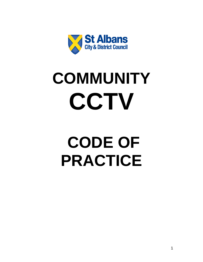

# **COMMUNITY CCTV**

## **CODE OF PRACTICE**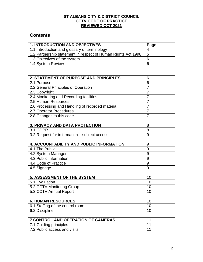#### **ST ALBANS CITY & DISTRICT COUNCIL CCTV CODE OF PRACTICE REVIEWED OCT 2021**

## **Contents**

| <b>1. INTRODUCTION AND OBJECTIVES</b>                         | Page           |
|---------------------------------------------------------------|----------------|
| 1.1 Introduction and glossary of terminology                  | 4              |
| 1.2 Partnership statement in respect of Human Rights Act 1998 | 5              |
| 1.3 Objectives of the system                                  | 6              |
| 1.4 System Review                                             | 6              |
|                                                               |                |
|                                                               |                |
| 2. STATEMENT OF PURPOSE AND PRINCIPLES                        | 6              |
| 2.1 Purpose                                                   | 6              |
| 2.2 General Principles of Operation                           | $\overline{7}$ |
| 2.3 Copyright                                                 | $\overline{7}$ |
| 2.4 Monitoring and Recording facilities                       | $\overline{7}$ |
| 2.5 Human Resources                                           | 7              |
| 2.6 Processing and Handling of recorded material              | $\overline{7}$ |
| 2.7 Operator Procedures                                       | $\overline{7}$ |
| 2.8 Changes to this code                                      | 7              |
|                                                               |                |
| <b>3. PRIVACY AND DATA PROTECTION</b>                         | 8              |
| 3.1 GDPR                                                      | 8              |
| 3.2 Request for information - subject access                  | 9              |
|                                                               |                |
| <b>4. ACCOUNTABILITY AND PUBLIC INFORMATION</b>               | 9              |
| 4.1 The Public                                                | 9              |
| 4.2 System Manager                                            | 9              |
| 4.3 Public Information                                        | 9              |
| 4.4 Code of Practice                                          | 9              |
| 4.5 Signage                                                   | 9              |
|                                                               |                |
| 5. ASSESSMENT OF THE SYSTEM                                   | 10             |
| 5.1 Evaluation                                                | 10             |
| 5.2 CCTV Monitoring Group                                     | 10             |
| 5.3 CCTV Annual Report                                        | 10             |
|                                                               |                |
| <b>6. HUMAN RESOURCES</b>                                     | 10             |
| 6.1 Staffing of the control room                              | 10             |
| 6.2 Discipline                                                | 10             |
|                                                               |                |
| <b>7 CONTROL AND OPERATION OF CAMERAS</b>                     | 11             |
| 7.1 Guiding principles                                        | 11             |
| 7.2 Public access and visits                                  | 11             |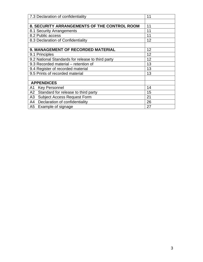| 7.3 Declaration of confidentiality                | 11 |
|---------------------------------------------------|----|
|                                                   |    |
| 8. SECURITY ARRANGEMENTS OF THE CONTROL ROOM      | 11 |
| 8.1 Security Arrangements                         | 11 |
| 8.2 Public access                                 | 11 |
| 8.3 Declaration of Confidentiality                | 12 |
|                                                   |    |
| 9. MANAGEMENT OF RECORDED MATERIAL                | 12 |
| 9.1 Principles                                    | 12 |
| 9.2 National Standards for release to third party | 12 |
| 9.3 Recorded material – retention of              | 13 |
| 9.4 Register of recorded material                 | 13 |
| 9.5 Prints of recorded material                   | 13 |
|                                                   |    |
| <b>APPENDICES</b>                                 |    |
| <b>Key Personnel</b><br>A1                        | 14 |
| A2 Standard for release to third party            | 15 |
| A3<br><b>Subject Access Request Form</b>          | 21 |
| A4 Declaration of confidentiality                 | 26 |
| A5 Example of signage                             | 27 |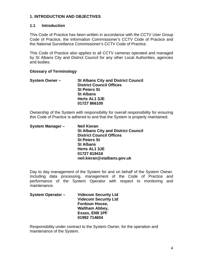#### **1. INTRODUCTION AND OBJECTIVES**

#### **1.1 Introduction**

This Code of Practice has been written in accordance with the CCTV User Group Code of Practice, the Information Commissioner's CCTV Code of Practice and the National Surveillance Commissioner's CCTV Code of Practice.

This Code of Practice also applies to all CCTV cameras operated and managed by St Albans City and District Council for any other Local Authorities, agencies and bodies.

#### **Glossary of Terminology**

| <b>System Owner -</b> | <b>St Albans City and District Council</b> |
|-----------------------|--------------------------------------------|
|                       | <b>District Council Offices</b>            |
|                       | <b>St Peters St</b>                        |
|                       | <b>St Albans</b>                           |
|                       | <b>Herts AL1 3JE</b>                       |
|                       | 01727 866100                               |

Ownership of the System with responsibility for overall responsibility for ensuring this Code of Practice is adhered to and that the System is properly maintained.

| System Manager - | <b>Neil Kieran</b>                         |
|------------------|--------------------------------------------|
|                  | <b>St Albans City and District Council</b> |
|                  | <b>District Council Offices</b>            |
|                  | <b>St Peters St</b>                        |
|                  | <b>St Albans</b>                           |
|                  | Herts AL1 3JE                              |
|                  | 01727 819416                               |
|                  | neil.kieran@stalbans.gov.uk                |

Day to day management of the System for and on behalf of the System Owner. Including data processing, management of the Code of Practice and performance of the System Operator with respect to monitoring and maintenance.

| <b>System Operator -</b> | <b>Videcom Security Ltd</b> |
|--------------------------|-----------------------------|
|                          | <b>Videcom Security Ltd</b> |
|                          | <b>Fordoun House,</b>       |
|                          | <b>Waltham Abbey,</b>       |
|                          | Essex, EN9 1PF              |
|                          | 01992 714604                |

Responsibility under contract to the System Owner, for the operation and maintenance of the System.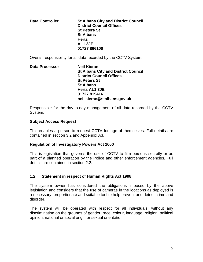**Data Controller St Albans City and District Council District Council Offices St Peters St St Albans Herts AL1 3JE 01727 866100** 

Overall responsibility for all data recorded by the CCTV System.

#### **Data Processor Meil Kieran St Albans City and District Council District Council Offices St Peters St St Albans Herts AL1 3JE 01727 819416 neil.kieran@stalbans.gov.uk**

Responsible for the day-to-day management of all data recorded by the CCTV System.

#### **Subject Access Request**

This enables a person to request CCTV footage of themselves. Full details are contained in section 3.2 and Appendix A3.

#### **Regulation of Investigatory Powers Act 2000**

This is legislation that governs the use of CCTV to film persons secretly or as part of a planned operation by the Police and other enforcement agencies. Full details are contained in section 2.2.

#### **1.2 Statement in respect of Human Rights Act 1998**

The system owner has considered the obligations imposed by the above legislation and considers that the use of cameras in the locations as deployed is a necessary, proportionate and suitable tool to help prevent and detect crime and disorder.

The system will be operated with respect for all individuals, without any discrimination on the grounds of gender, race, colour, language, religion, political opinion, national or social origin or sexual orientation.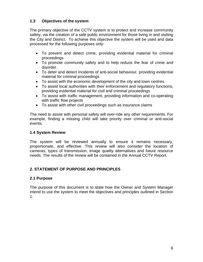#### **1.3 Objectives of the system**

The primary objective of the CCTV system is to protect and increase community safety, via the creation of a safe public environment for those living in and visiting the City and District. To achieve this objective the system will be used and data processed for the following purposes only:

- To prevent and detect crime, providing evidential material for criminal proceedings
- To promote community safety and to help reduce the fear of crime and disorder.
- To deter and detect incidents of anti-social behaviour, providing evidential material for criminal proceedings
- To assist with the economic development of the city and town centres.
- To assist local authorities with their enforcement and regulatory functions, providing evidential material for civil and criminal proceedings
- To assist with traffic management, providing information and co-operating with traffic flow projects
- To assist with other civil proceedings such as insurance claims

The need to assist with personal safety will over-ride any other requirements. For example, finding a missing child will take priority over criminal or anti-social events.

#### **1.4 System Review**

The system will be reviewed annually to ensure it remains necessary, proportionate, and effective. This review will also consider the location of cameras, types of transmission, image quality alternatives and future resource needs. The results of the review will be contained in the Annual CCTV Report.

#### **2. STATEMENT OF PURPOSE AND PRINCIPLES**

#### **2.1 Purpose**

The purpose of this document is to state how the Owner and System Manager intend to use the system to meet the objectives and principles outlined in Section 1.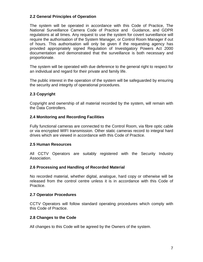#### **2.2 General Principles of Operation**

The system will be operated in accordance with this Code of Practice, The National Surveillance Camera Code of Practice and Guidance, and GDPR regulations at all times. Any request to use the system for covert surveillance will require the authorisation of the System Manager, or Control Room Manager if out of hours. This authorisation will only be given if the requesting agency has provided appropriately signed Regulation of Investigatory Powers Act 2000 documentation and demonstrated that the surveillance is both necessary and proportionate.

The system will be operated with due deference to the general right to respect for an individual and regard for their private and family life.

The public interest in the operation of the system will be safeguarded by ensuring the security and integrity of operational procedures.

#### **2.3 Copyright**

Copyright and ownership of all material recorded by the system, will remain with the Data Controllers.

#### **2.4 Monitoring and Recording Facilities**

Fully functional cameras are connected to the Control Room, via fibre optic cable or via encrypted WIFI transmission. Other static cameras record to integral hard drives which are viewed in accordance with this Code of Practice.

#### **2.5 Human Resources**

All CCTV Operators are suitably registered with the Security Industry Association.

#### **2.6 Processing and Handling of Recorded Material**

No recorded material, whether digital, analogue, hard copy or otherwise will be released from the control centre unless it is in accordance with this Code of Practice.

#### **2.7 Operator Procedures**

CCTV Operators will follow standard operating procedures which comply with this Code of Practice.

#### **2.8 Changes to the Code**

All changes to this Code will be agreed by the Owners of the system.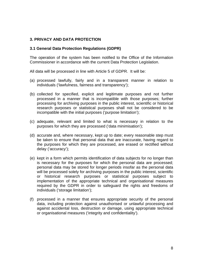#### **3. PRIVACY AND DATA PROTECTION**

#### **3.1 General Data Protection Regulations (GDPR)**

The operation of the system has been notified to the Office of the Information Commissioner in accordance with the current Data Protection Legislation.

All data will be processed in line with Article 5 of GDPR. It will be:

- (a) processed lawfully, fairly and in a transparent manner in relation to individuals ('lawfulness, fairness and transparency');
- (b) collected for specified, explicit and legitimate purposes and not further processed in a manner that is incompatible with those purposes; further processing for archiving purposes in the public interest, scientific or historical research purposes or statistical purposes shall not be considered to be incompatible with the initial purposes ('purpose limitation');
- (c) adequate, relevant and limited to what is necessary in relation to the purposes for which they are processed ('data minimisation');
- (d) accurate and, where necessary, kept up to date; every reasonable step must be taken to ensure that personal data that are inaccurate, having regard to the purposes for which they are processed, are erased or rectified without delay ('accuracy');
- (e) kept in a form which permits identification of data subjects for no longer than is necessary for the purposes for which the personal data are processed; personal data may be stored for longer periods insofar as the personal data will be processed solely for archiving purposes in the public interest, scientific or historical research purposes or statistical purposes subject to implementation of the appropriate technical and organisational measures required by the GDPR in order to safeguard the rights and freedoms of individuals ('storage limitation');
- (f) processed in a manner that ensures appropriate security of the personal data, including protection against unauthorised or unlawful processing and against accidental loss, destruction or damage, using appropriate technical or organisational measures ('integrity and confidentiality').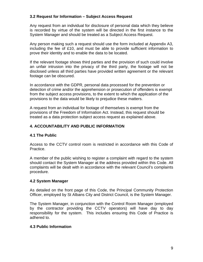#### **3.2 Request for Information – Subject Access Request**

Any request from an individual for disclosure of personal data which they believe is recorded by virtue of the system will be directed in the first instance to the System Manager and should be treated as a Subject Access Request.

Any person making such a request should use the form included at Appendix A3, including the fee of £10, and must be able to provide sufficient information to prove their identity and to enable the data to be located.

If the relevant footage shows third parties and the provision of such could involve an unfair intrusion into the privacy of the third party, the footage will not be disclosed unless all third parties have provided written agreement or the relevant footage can be obscured.

In accordance with the GDPR, personal data processed for the prevention or detection of crime and/or the apprehension or prosecution of offenders is exempt from the subject access provisions, to the extent to which the application of the provisions to the data would be likely to prejudice these matters.

A request from an individual for footage of themselves is exempt from the provisions of the Freedom of Information Act. Instead, this request should be treated as a data protection subject access request as explained above.

#### **4. ACCOUNTABILITY AND PUBLIC INFORMATION**

#### **4.1 The Public**

Access to the CCTV control room is restricted in accordance with this Code of Practice.

A member of the public wishing to register a complaint with regard to the system should contact the System Manager at the address provided within this Code. All complaints will be dealt with in accordance with the relevant Council's complaints procedure.

#### **4.2 System Manager**

As detailed on the front page of this Code, the Principal Community Protection Officer, employed by St Albans City and District Council, is the System Manager.

The System Manager, in conjunction with the Control Room Manager (employed by the contractor providing the CCTV operators) will have day to day responsibility for the system. This includes ensuring this Code of Practice is adhered to.

#### **4.3 Public Information**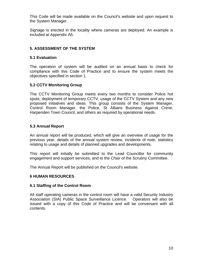This Code will be made available on the Council's website and upon request to the System Manager.

Signage is erected in the locality where cameras are deployed. An example is included at Appendix A5.

#### **5. ASSESSMENT OF THE SYSTEM**

#### **5.1 Evaluation**

The operation of system will be audited on an annual basis to check for compliance with this Code of Practice and to ensure the system meets the objectives specified in section 1.

#### **5.2 CCTV Monitoring Group**

The CCTV Monitoring Group meets every two months to consider Police hot spots, deployment of temporary CCTV, usage of the CCTV System and any new proposed initiatives and ideas. This group consists of the System Manager, Control Room Manager, the Police, St Albans Business Against Crime, Harpenden Town Council, and others as required by operational needs.

#### **5.3 Annual Report**

An annual report will be produced, which will give an overview of usage for the previous year, details of the annual system review, incidents of note, statistics relating to usage and details of planned upgrades and developments.

This report will initially be submitted to the Lead Councillor for community engagement and support services, and to the Chair of the Scrutiny Committee.

The Annual Report will be published on the Council's website.

#### **6 HUMAN RESOURCES**

#### **6.1 Staffing of the Control Room**

All staff operating cameras in the control room will have a valid Security Industry Association (SIA) Public Space Surveillance Licence. Operators will also be issued with a copy of this Code of Practice and will be conversant with all contents.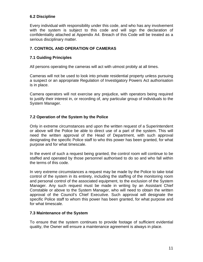#### **6.2 Discipline**

Every individual with responsibility under this code, and who has any involvement with the system is subject to this code and will sign the declaration of confidentiality attached at Appendix A4. Breach of this Code will be treated as a serious disciplinary matter.

#### **7. CONTROL AND OPERATION OF CAMERAS**

#### **7.1 Guiding Principles**

All persons operating the cameras will act with utmost probity at all times.

Cameras will not be used to look into private residential property unless pursuing a suspect or an appropriate Regulation of Investigatory Powers Act authorisation is in place.

Camera operators will not exercise any prejudice, with operators being required to justify their interest in, or recording of, any particular group of individuals to the System Manager.

#### **7.2 Operation of the System by the Police**

Only in extreme circumstances and upon the written request of a Superintendent or above will the Police be able to direct use of a part of the system. This will need the written approval of the Head of Department, with such approval designating the specific Police staff to who this power has been granted, for what purpose and for what timescale.

In the event of such a request being granted, the control room will continue to be staffed and operated by those personnel authorised to do so and who fall within the terms of this code.

In very extreme circumstances a request may be made by the Police to take total control of the system in its entirety, including the staffing of the monitoring room and personal control of the associated equipment, to the exclusion of the System Manager. Any such request must be made in writing by an Assistant Chief Constable or above to the System Manager, who will need to obtain the written approval of the Council's Chief Executive. Such approval will designate the specific Police staff to whom this power has been granted, for what purpose and for what timescale.

#### **7.3 Maintenance of the System**

To ensure that the system continues to provide footage of sufficient evidential quality, the Owner will ensure a maintenance agreement is always in place.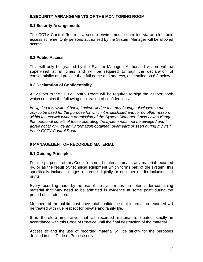#### **8.SECURITY ARRANGEMENTS OF THE MONITORING ROOM**

#### **8.1 Security Arrangements**

The CCTV Control Room is a secure environment, controlled via an electronic access scheme. Only persons authorised by the System Manager will be allowed access.

#### **8.2 Public Access**

This will only be granted by the System Manager. Authorised visitors will be supervised at all times and will be required to sign the declaration of confidentiality and provide their full name and address, as detailed on 8.3 below.

#### **8.3 Declaration of Confidentiality**

All visitors to the CCTV Control Room will be required to sign the visitors' book which contains the following declaration of confidentiality:

*In signing this visitors' book, I acknowledge that any footage disclosed to me is only to be used for the purpose for which it is disclosed and for no other reason, within the explicit written permission of the System Manager. I also acknowledge that personal details of those operating the system must not be divulged and I agree not to divulge any information obtained, overheard or seen during my visit to the CCTV Control Room.* 

#### **9 MANAGEMENT OF RECORDED MATERIAL**

#### **9.1 Guiding Principles**

For the purposes of this Code, 'recorded material' means any material recorded by, or as the result of, technical equipment which forms part of the system; this specifically includes images recorded digitally or on other media including still prints.

Every recording made by the use of the system has the potential for containing material that may need to be admitted in evidence at some point during the period of its retention.

Members of the public must have total confidence that information recorded will be treated with due respect for private and family life.

It is therefore imperative that all recorded material is treated strictly in accordance with this Code of Practice until the final destruction of the material.

Access to and the use of recorded material will be strictly for the purposes defined in this Code of Practice only.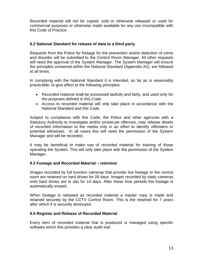Recorded material will not be copied, sold or otherwise released or used for commercial purposes or otherwise made available for any use incompatible with this Code of Practice.

#### **9.2 National Standard for release of data to a third party**

Requests from the Police for footage for the prevention and/or detection of crime and disorder will be submitted to the Control Room Manager. All other requests will need the approval of the System Manager. The System Manager will ensure the principles contained within the National Standard (Appendix A2), are followed at all times.

In complying with the National Standard it is intended, as far as is reasonably practicable, to give effect to the following principles:

- Recorded material shall be processed lawfully and fairly, and used only for the purposes defined in this Code.
- Access to recorded material will only take place in accordance with the National Standard and this Code.

Subject to compliance with this Code, the Police and other agencies with a Statutory Authority to investigate and/or prosecute offences, may release details of recorded information to the media only in an effort to identify offenders or potential witnesses. In all cases this will need the permission of the System Manager and will be recorded.

It may be beneficial to make use of recorded material for training of those operating the System. This will only take place with the permission of the System Manager.

#### **9.3 Footage and Recorded Material – retention**

Images recorded by full function cameras that provide live footage to the control room are retained on hard drives for 28 days. Images recorded by static cameras onto hard drives are in situ for 14 days. After these time periods the footage is automatically erased.

When footage is released as recorded material a master copy is made and retained securely by the CCTV Control Room. This is the retained for 7 years after which it is securely destroyed.

#### **9.4 Register and Release of Recorded Material**

Every item of recorded material that is produced is managed using specific software which this provides a clear audit trail.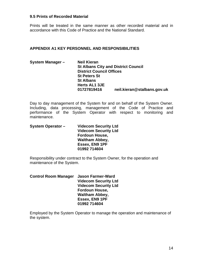#### **9.5 Prints of Recorded Material**

Prints will be treated in the same manner as other recorded material and in accordance with this Code of Practice and the National Standard.

#### **APPENDIX A1 KEY PERSONNEL AND RESPONSIBILITIES**

| System Manager - | <b>Neil Kieran</b>              |                                            |
|------------------|---------------------------------|--------------------------------------------|
|                  |                                 | <b>St Albans City and District Council</b> |
|                  | <b>District Council Offices</b> |                                            |
|                  | <b>St Peters St</b>             |                                            |
|                  | <b>St Albans</b>                |                                            |
|                  | Herts AL1 3JE                   |                                            |
|                  | 01727819416                     | neil.kieran@stalbans.gov.uk                |

Day to day management of the System for and on behalf of the System Owner. Including, data processing, management of the Code of Practice and performance of the System Operator with respect to monitoring and maintenance.

| <b>System Operator -</b> | <b>Videcom Security Ltd</b> |
|--------------------------|-----------------------------|
|                          | <b>Videcom Security Ltd</b> |
|                          | <b>Fordoun House,</b>       |
|                          | <b>Waltham Abbey,</b>       |
|                          | <b>Essex, EN9 1PF</b>       |
|                          | 01992 714604                |

Responsibility under contract to the System Owner, for the operation and maintenance of the System.

| <b>Control Room Manager</b> | <b>Jason Farmer-Ward</b>    |
|-----------------------------|-----------------------------|
|                             | <b>Videcom Security Ltd</b> |
|                             | <b>Videcom Security Ltd</b> |
|                             | <b>Fordoun House,</b>       |
|                             | <b>Waltham Abbey,</b>       |
|                             | Essex, EN9 1PF              |
|                             | 01992 714604                |

Employed by the System Operator to manage the operation and maintenance of the system.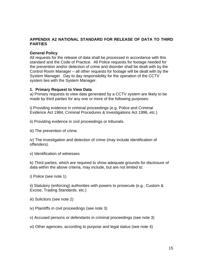#### **APPENDIX A2 NATIONAL STANDARD FOR RELEASE OF DATA TO THIRD PARTIES**

#### **General Policy**

All requests for the release of data shall be processed in accordance with this standard and the Code of Practice. All Police requests for footage needed for the prevention and/or detection of crime and disorder shall be dealt with by the Control Room Manager – all other requests for footage will be dealt with by the System Manager. Day to day responsibility for the operation of the CCTV system lies with the System Manager.

#### **1. Primary Request to View Data**

a) Primary requests to view data generated by a CCTV system are likely to be made by third parties for any one or more of the following purposes:

i) Providing evidence in criminal proceedings (e.g. Police and Criminal Evidence Act 1984, Criminal Procedures & Investigations Act 1996, etc.)

ii) Providing evidence in civil proceedings or tribunals.

iii) The prevention of crime.

iv) The investigation and detection of crime (may include identification of offenders).

v) Identification of witnesses

b) Third parties, which are required to show adequate grounds for disclosure of data within the above criteria, may include, but are not limited to:

i) Police (see note 1)

ii) Statutory (enforcing) authorities with powers to prosecute (e.g., Custom & Excise, Trading Standards, etc.)

- iii) Solicitors (see note 2)
- iv) Plaintiffs in civil proceedings (see note 3)
- v) Accused persons or defendants in criminal proceedings (see note 3)
- vi) Other agencies, according to purpose and legal status (see note 4)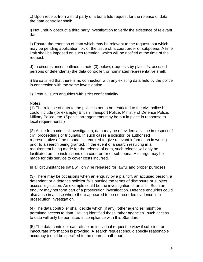c) Upon receipt from a third party of a bona fide request for the release of data, the data controller shall:

i) Not unduly obstruct a third party investigation to verify the existence of relevant data.

ii) Ensure the retention of data which may be relevant to the request, but which may be pending application for, or the issue of, a court order or subpoena. A time limit shall be imposed on such retention, which will be notified at the time of the request.

d) In circumstances outlined in note (3) below, (requests by plaintiffs, accused persons or defendants) the data controller, or nominated representative shall:

i) Be satisfied that there is no connection with any existing data held by the police in connection with the same investigation.

ii) Treat all such enquiries with strict confidentiality.

#### Notes:

(1) The release of data to the police is not to be restricted to the civil police but could include (for example) British Transport Police, Ministry of Defence Police, Military Police, etc. (Special arrangements may be put in place in response to local requirements.)

(2) Aside from criminal investigation, data may be of evidential value in respect of civil proceedings or tribunals. In such cases a solicitor, or authorised representative of the tribunal, is required to give relevant information in writing prior to a search being granted. In the event of a search resulting in a requirement being made for the release of data, such release will only be facilitated on the instructions of a court order or subpoena. A charge may be made for this service to cover costs incurred.

In all circumstances data will only be released for lawful and proper purposes.

(3) There may be occasions when an enquiry by a plaintiff, an accused person, a defendant or a defence solicitor falls outside the terms of disclosure or subject access legislation. An example could be the investigation of an alibi. Such an enquiry may not form part of a prosecution investigation. Defence enquiries could also arise in a case where there appeared to be no recorded evidence in a prosecution investigation.

(4) The data controller shall decide which (if any) 'other agencies' might be permitted access to data. Having identified those 'other agencies', such access to data will only be permitted in compliance with this Standard.

(5) The data controller can refuse an individual request to view if sufficient or inaccurate information is provided. A search request should specify reasonable accuracy (could be specified to the nearest half-hour).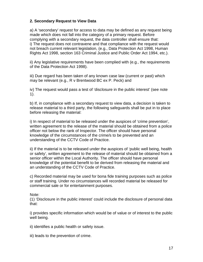#### **2. Secondary Request to View Data**

a) A 'secondary' request for access to data may be defined as any request being made which does not fall into the category of a primary request. Before complying with a secondary request, the data controller shall ensure that: i) The request does not contravene and that compliance with the request would not breach current relevant legislation, (e.g., Data Protection Act 1998, Human Rights Act 1998, section 163 Criminal Justice and Public Order Act 1994, etc.).

ii) Any legislative requirements have been complied with (e.g., the requirements of the Data Protection Act 1998).

iii) Due regard has been taken of any known case law (current or past) which may be relevant (e.g., R v Brentwood BC ex P. Peck) and

iv) The request would pass a test of 'disclosure in the public interest' (see note 1).

b) If, in compliance with a secondary request to view data, a decision is taken to release material to a third party, the following safeguards shall be put in to place before releasing the material:

i) In respect of material to be released under the auspices of 'crime prevention', written agreement to the release of the material should be obtained from a police officer not below the rank of Inspector. The officer should have personal knowledge of the circumstances of the crime/s to be prevented and an understanding of the CCTV Code of Practice.

ii) If the material is to be released under the auspices of 'public well being, health or safety', written agreement to the release of material should be obtained from a senior officer within the Local Authority. The officer should have personal knowledge of the potential benefit to be derived from releasing the material and an understanding of the CCTV Code of Practice.

c) Recorded material may be used for bona fide training purposes such as police or staff training. Under no circumstances will recorded material be released for commercial sale or for entertainment purposes.

Note:

(1) 'Disclosure in the public interest' could include the disclosure of personal data that:

i) provides specific information which would be of value or of interest to the public well being.

ii) identifies a public health or safety issue.

iii) leads to the prevention of crime.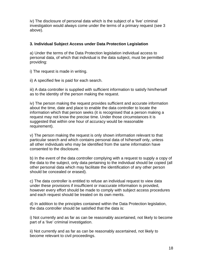iv) The disclosure of personal data which is the subject of a 'live' criminal investigation would always come under the terms of a primary request (see 3 above).

#### **3. Individual Subject Access under Data Protection Legislation**

a) Under the terms of the Data Protection legislation individual access to personal data, of which that individual is the data subject, must be permitted providing:

i) The request is made in writing.

ii) A specified fee is paid for each search.

iii) A data controller is supplied with sufficient information to satisfy him/herself as to the identity of the person making the request.

iv) The person making the request provides sufficient and accurate information about the time, date and place to enable the data controller to locate the information which that person seeks (it is recognised that a person making a request may not know the precise time. Under those circumstances it is suggested that within one hour of accuracy would be reasonable requirement).

v) The person making the request is only shown information relevant to that particular search and which contains personal data of hi/herself only, unless all other individuals who may be identified from the same information have consented to the disclosure.

b) In the event of the data controller complying with a request to supply a copy of the data to the subject, only data pertaining to the individual should be copied (all other personal data which may facilitate the identification of any other person should be concealed or erased).

c) The data controller is entitled to refuse an individual request to view data under these provisions if insufficient or inaccurate information is provided, however every effort should be made to comply with subject access procedures and each request should be treated on its own merits.

d) In addition to the principles contained within the Data Protection legislation, the data controller should be satisfied that the data is:

i) Not currently and as far as can be reasonably ascertained, not likely to become part of a 'live' criminal investigation.

ii) Not currently and as far as can be reasonably ascertained, not likely to become relevant to civil proceedings.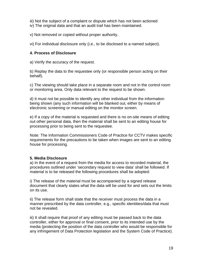- iii) Not the subject of a complaint or dispute which has not been actioned
- iv) The original data and that an audit trail has been maintained.

v) Not removed or copied without proper authority.

vi) For individual disclosure only (i.e., to be disclosed to a named subject).

#### **4. Process of Disclosure**

a) Verify the accuracy of the request.

b) Replay the data to the requestee only (or responsible person acting on their behalf).

c) The viewing should take place in a separate room and not in the control room or monitoring area. Only data relevant to the request to be shown.

d) It must not be possible to identify any other individual from the information being shown (any such information will be blanked out, either by means of electronic screening or manual editing on the monitor screen.

e) If a copy of the material is requested and there is no on-site means of editing out other personal data, then the material shall be sent to an editing house for processing prior to being sent to the requestee.

Note: The Information Commissioners Code of Practice for CCTV makes specific requirements for the precautions to be taken when images are sent to an editing house for processing.

#### **5. Media Disclosure**

a) In the event of a request from the media for access to recorded material, the procedures outlined under 'secondary request to view data' shall be followed. If material is to be released the following procedures shall be adopted:

i) The release of the material must be accompanied by a signed release document that clearly states what the data will be used for and sets out the limits on its use.

ii) The release form shall state that the receiver must process the data in a manner prescribed by the data controller, e.g., specific identities/data that must not be revealed.

iii) It shall require that proof of any editing must be passed back to the data controller, either for approval or final consent, prior to its intended use by the media (protecting the position of the data controller who would be responsible for any infringement of Data Protection legislation and the System Code of Practice).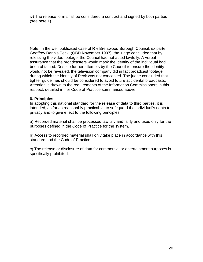iv) The release form shall be considered a contract and signed by both parties (see note 1).

Note: In the well publicised case of R v Brentwood Borough Council, ex parte Geoffrey Dennis Peck, (QBD November 1997), the judge concluded that by releasing the video footage, the Council had not acted lawfully. A verbal assurance that the broadcasters would mask the identity of the individual had been obtained. Despite further attempts by the Council to ensure the identity would not be revealed, the television company did in fact broadcast footage during which the identity of Peck was not concealed. The judge concluded that tighter guidelines should be considered to avoid future accidental broadcasts. Attention is drawn to the requirements of the Information Commissioners in this respect, detailed in her Code of Practice summarised above.

#### **6. Principles**

In adopting this national standard for the release of data to third parties, it is intended, as far as reasonably practicable, to safeguard the individual's rights to privacy and to give effect to the following principles:

a) Recorded material shall be processed lawfully and fairly and used only for the purposes defined in the Code of Practice for the system.

b) Access to recorded material shall only take place in accordance with this standard and the Code of Practice.

c) The release or disclosure of data for commercial or entertainment purposes is specifically prohibited.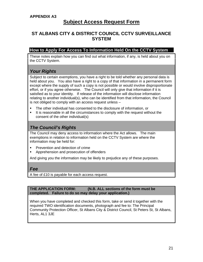## **Subject Access Request Form**

### **ST ALBANS CITY & DISTRICT COUNCIL CCTV SURVEILLANCE SYSTEM**

#### **How to Apply For Access To Information Held On the CCTV System**

These notes explain how you can find out what information, if any, is held about you on the CCTV System.

## *Your Rights*

Subject to certain exemptions, you have a right to be told whether any personal data is held about you. You also have a right to a copy of that information in a permanent form except where the supply of such a copy is not possible or would involve disproportionate effort, or if you agree otherwise. The Council will only give that information if it is satisfied as to your identity. If release of the information will disclose information relating to another individual(s), who can be identified from that information, the Council is not obliged to comply with an access request unless –

- The other individual has consented to the disclosure of information, or
- It is reasonable in all the circumstances to comply with the request without the consent of the other individual(s)

## *The Council's Rights*

The Council may deny access to information where the Act allows. The main exemptions in relation to information held on the CCTV System are where the information may be held for:

- Prevention and detection of crime
- Apprehension and prosecution of offenders

And giving you the information may be likely to prejudice any of these purposes.

#### *Fee*

A fee of £10 is payable for each access request.

**THE APPLICATION FORM: (N.B. ALL sections of the form must be completed. Failure to do so may delay your application.)** 

When you have completed and checked this form, take or send it together with the required TWO identification documents, photograph and fee to: The Principal Community Protection Officer, St Albans City & District Council, St Peters St, St Albans, Herts, AL1 3JE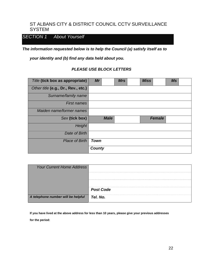### ST ALBANS CITY & DISTRICT COUNCIL CCTV SURVEILLANCE **SYSTEM**

## *SECTION 1 About Yourself*

*The information requested below is to help the Council (a) satisfy itself as to* 

*your identity and (b) find any data held about you.* 

#### *PLEASE USE BLOCK LETTERS*

| Title (tick box as appropriate)     | Mr            |             | <b>Mrs</b> | <b>Miss</b> |               | <b>Ms</b> |  |
|-------------------------------------|---------------|-------------|------------|-------------|---------------|-----------|--|
| Other title (e.g., Dr., Rev., etc.) |               |             |            |             |               |           |  |
| Surname/family name                 |               |             |            |             |               |           |  |
| <b>First names</b>                  |               |             |            |             |               |           |  |
| Maiden name/former names            |               |             |            |             |               |           |  |
| Sex (tick box)                      |               | <b>Male</b> |            |             | <b>Female</b> |           |  |
| Height                              |               |             |            |             |               |           |  |
| Date of Birth                       |               |             |            |             |               |           |  |
| <b>Place of Birth</b>               | <b>Town</b>   |             |            |             |               |           |  |
|                                     | <b>County</b> |             |            |             |               |           |  |

| <b>Your Current Home Address</b>   |                              |
|------------------------------------|------------------------------|
| A telephone number will be helpful | <b>Post Code</b><br>Tel. No. |

**If you have lived at the above address for less than 10 years, please give your previous addresses for the period:**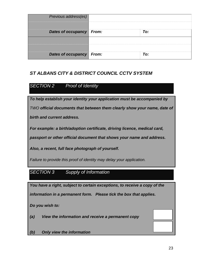| Previous address(es)     |     |
|--------------------------|-----|
|                          |     |
| Dates of occupancy From: | To: |
|                          |     |
|                          |     |
| Dates of occupancy From: | To: |

## *ST ALBANS CITY & DISTRICT COUNCIL CCTV SYSTEM*

## *SECTION 2 Proof of Identity*

*To help establish your identity your application must be accompanied by TWO official documents that between them clearly show your name, date of birth and current address.* 

*For example: a birth/adoption certificate, driving licence, medical card,* 

*passport or other official document that shows your name and address.* 

*Also, a recent, full face photograph of yourself.* 

*Failure to provide this proof of identity may delay your application.* 

## *SECTION 3 Supply of Information*

*You have a right, subject to certain exceptions, to receive a copy of the information in a permanent form. Please tick the box that applies.* 

*Do you wish to:* 

- *(a) View the information and receive a permanent copy*
- *(b) Only view the information*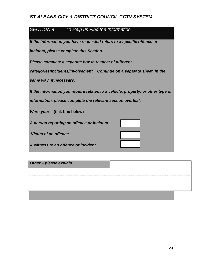## *ST ALBANS CITY & DISTRICT COUNCIL CCTV SYSTEM*

## *SECTION 4 To Help us Find the Information*

*If the information you have requested refers to a specific offence or incident, please complete this Section.* 

*Please complete a separate box in respect of different* 

*categories/incidents/involvement. Continue on a separate sheet, in the* 

*same way, if necessary.* 

*If the information you require relates to a vehicle, property, or other type of* 

*information, please complete the relevant section overleaf.* 

*Were you:* **(tick box below)**

*A person reporting an offence or incident* 

 *Victim of an offence* 

*A witness to an offence or incident* 

| Other - please explain |  |
|------------------------|--|
|                        |  |
|                        |  |
|                        |  |
|                        |  |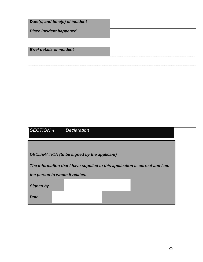| Date(s) and time(s) of incident                                              |
|------------------------------------------------------------------------------|
| <b>Place incident happened</b>                                               |
|                                                                              |
| <b>Brief details of incident</b>                                             |
|                                                                              |
|                                                                              |
|                                                                              |
|                                                                              |
|                                                                              |
|                                                                              |
|                                                                              |
| <b>SECTION 4</b><br><b>Declaration</b>                                       |
|                                                                              |
|                                                                              |
| DECLARATION (to be signed by the applicant)                                  |
| The information that I have supplied in this application is correct and I am |
| the person to whom it relates.                                               |
| <b>Signed by</b>                                                             |
| <b>Date</b>                                                                  |
|                                                                              |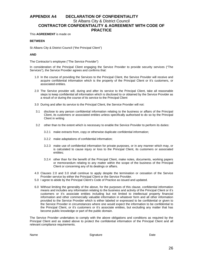#### **APPENDIX A4 DECLARATION OF CONFIDENTIALITY**  St Albans City & District Council **CONTRACTOR CONFIDENTIALITY & AGREEMENT WITH CODE OF PRACTICE**

#### This **AGREEMENT** is made on

#### **BETWEEN**

St Albans City & District Council ("the Principal Client")

#### **AND**

The Contractor's employee ("The Service Provider")

In consideration of the Principal Client engaging the Service Provider to provide security services ("The Services"), the Service Provider agrees and confirms that:

- 1.0 In the course of providing the Services to the Principal Client, the Service Provider will receive and acquire confidential information which is the property of the Principal Client or it's customers, or associated entities.
- 2.0 The Service provider will, during and after its service to the Principal Client, take all reasonable steps to keep confidential all information which is disclosed to or obtained by the Service Provider as a result of or during the course of its service to the Principal Client
- 3.0 During and after its service to the Principal Client, the Service Provider will not:
- 3.1 disclose to any person confidential information relating to the business or affairs of the Principal Client, its customers or associated entities unless specifically authorised to do so by the Principal Client in writing
- 3.2 other than to the extent which is necessary to enable the Service Provider to perform its duties:
	- 3.2.1 make extracts from, copy or otherwise duplicate confidential information;
	- 3.2.2 make adaptations of confidential information;
	- 3.2.3 make use of confidential information for private purposes, or in any manner which may, or is calculated to cause injury or loss to the Principal Client, its customers or associated entities;
	- 3.2.4 other than for the benefit of the Principal Client, make notes, documents, working papers or memorandum relating to any matter within the scope of the business of the Principal Client or concerning any of its dealings or affairs.
- 4.0 Clauses 2.0 and 3.0 shall continue to apply despite the termination or cessation of the Service Provider service by either the Principal Client or the Service Provider.
- 5.0 I agree to abide by the Principal Client's Code of Practice as issued and updated.
- 6.0 Without limiting the generality of the above, for the purposes of this clause, confidential information means and includes any information relating to the business and activity of the Principal Client or it's customers or it's associate entities including but not limited to intellectual property financial information and other commercially valuable information in whatever form and all other information provided to the Service Provider which is either labeled or expressed to be confidential or given to the Service Provider in circumstances where one would expect the information to be confidential to the Principal Client, or it's customers or it's associate entities, but excluding any matter that has become public knowledge or part of the public domain.

The Service Provider undertakes to comply with the above obligations and conditions as required by the Principal Client and as stated above to protect the confidential information of the Principal Client and all relevant compliance requirements.

Name **Name** Date **Signature Contract Contract Contract Contract Contract Contract Contract Contract Contract Contract Contract Contract Contract Contract Contract Contract Contract Contract Contract Contract Contract Con**